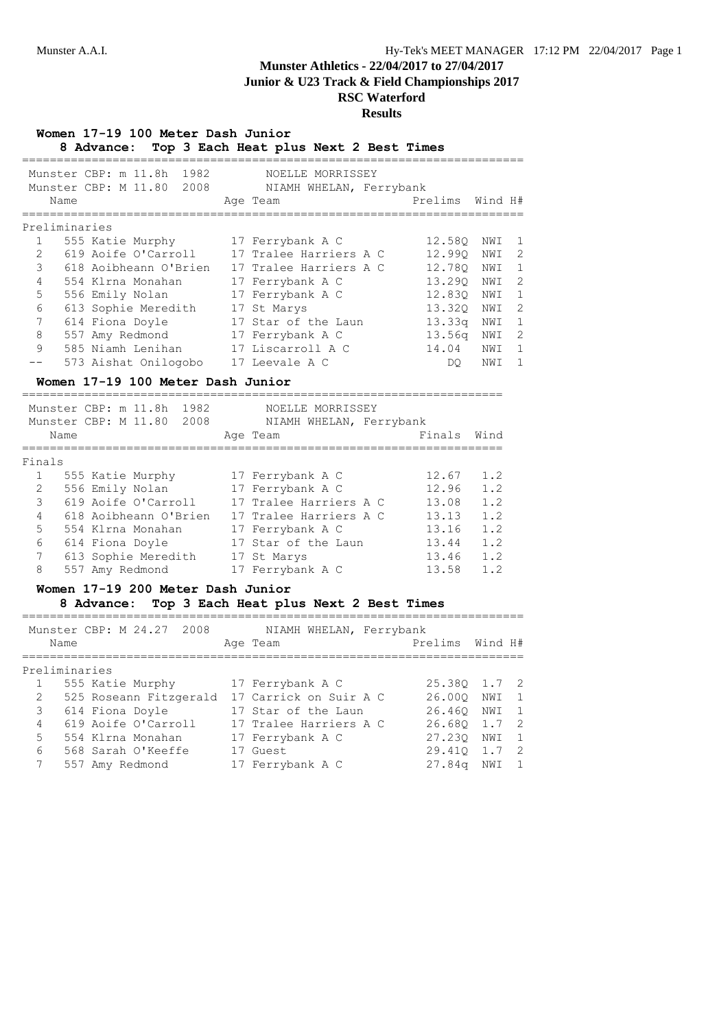# **Munster Athletics - 22/04/2017 to 27/04/2017**

**Junior & U23 Track & Field Championships 2017**

# **RSC Waterford Results**

|                |      | Women 17-19 100 Meter Dash Junior |  | 8 Advance: Top 3 Each Heat plus Next 2 Best Times                     |  |                 |        |                |
|----------------|------|-----------------------------------|--|-----------------------------------------------------------------------|--|-----------------|--------|----------------|
|                |      | Munster CBP: m 11.8h 1982         |  | NOELLE MORRISSEY<br>Munster CBP: M 11.80 2008 NIAMH WHELAN, Ferrybank |  |                 |        |                |
|                | Name |                                   |  | Age Team                                                              |  | Prelims Wind H# |        |                |
| Preliminaries  |      |                                   |  |                                                                       |  |                 |        |                |
|                |      |                                   |  | 1 555 Katie Murphy 17 Ferrybank A C                                   |  | 12.580 NWI 1    |        |                |
| $\overline{2}$ |      |                                   |  | 619 Aoife O'Carroll 17 Tralee Harriers A C                            |  | 12.990 NWI      |        | $\overline{c}$ |
| 3              |      |                                   |  | 618 Aoibheann O'Brien 17 Tralee Harriers A C                          |  | 12.780 NWI      |        | $\mathbf{1}$   |
| $\overline{4}$ |      |                                   |  | 554 Klrna Monahan 17 Ferrybank A C                                    |  | 13.290 NWI      |        | $\overline{c}$ |
| 5              |      |                                   |  | 556 Emily Nolan 17 Ferrybank A C                                      |  | 12.830 NWI      |        | $\mathbf{1}$   |
| 6              |      |                                   |  | 613 Sophie Meredith 17 St Marys                                       |  | 13.32Q NWI      |        | $\overline{c}$ |
| 7              |      |                                   |  | 614 Fiona Doyle 17 Star of the Laun                                   |  | 13.33q NWI      |        | $\mathbf{1}$   |
| 8              |      |                                   |  | 557 Amy Redmond 17 Ferrybank A C                                      |  | 13.56q NWI      |        | $\overline{c}$ |
| 9              |      |                                   |  | 585 Niamh Lenihan 17 Liscarroll A C                                   |  | 14.04 NWI       |        | 1              |
|                |      |                                   |  | 573 Aishat Onilogobo 17 Leevale A C                                   |  |                 | DO NWI | $\mathbf{1}$   |
|                |      | Women 17-19 100 Meter Dash Junior |  |                                                                       |  |                 |        |                |
|                |      | Munster CBP: m 11.8h 1982         |  | NOELLE MORRISSEY<br>Munster CBP: M 11.80 2008 NIAMH WHELAN, Ferrybank |  |                 |        |                |
|                | Name |                                   |  | Age Team                                                              |  | Finals Wind     |        |                |
|                |      |                                   |  |                                                                       |  |                 |        |                |

### Finals

| r THIRTS |                       |                        |       |     |
|----------|-----------------------|------------------------|-------|-----|
|          | 555 Katie Murphy      | 17 Ferrybank A C       | 12.67 | 1.2 |
| 2        | 556 Emily Nolan       | 17 Ferrybank A C       | 12.96 | 1.2 |
| 3        | 619 Aoife O'Carroll   | 17 Tralee Harriers A C | 13.08 | 1.2 |
| 4        | 618 Aoibheann O'Brien | 17 Tralee Harriers A C | 13.13 | 1.2 |
| 5        | 554 Klrna Monahan     | 17 Ferrybank A C       | 13.16 | 1.2 |
| 6        | 614 Fiona Doyle       | 17 Star of the Laun    | 13.44 | 1.2 |
|          | 613 Sophie Meredith   | 17 St Marys            | 13.46 | 1.2 |
| 8        | 557 Amy Redmond       | 17 Ferrybank A C       | 13.58 | 1.2 |

## **Women 17-19 200 Meter Dash Junior**

# **8 Advance: Top 3 Each Heat plus Next 2 Best Times**

|                | Name | Munster CBP: M 24.27 2008 |  | Age Team                                      | NIAMH WHELAN, Ferrybank | Prelims Wind H# |     |                |
|----------------|------|---------------------------|--|-----------------------------------------------|-------------------------|-----------------|-----|----------------|
| Preliminaries  |      |                           |  |                                               |                         |                 |     |                |
|                |      | 555 Katie Murphy          |  | 17 Ferrybank A C                              |                         | 25.380 1.7 2    |     |                |
| 2              |      |                           |  | 525 Roseann Fitzgerald 17 Carrick on Suir A C |                         | 26.000 NWI      |     | $\overline{1}$ |
| 3              |      | 614 Fiona Doyle           |  | 17 Star of the Laun                           |                         | 26.460 NWI      |     | $\overline{1}$ |
| 4              |      | 619 Aoife O'Carroll       |  | 17 Tralee Harriers A C                        |                         | 26.680 1.7 2    |     |                |
| 5 <sup>1</sup> |      | 554 Klrna Monahan         |  | 17 Ferrybank A C                              |                         | 27.230          | NWI | $\overline{1}$ |
| 6              |      | 568 Sarah O'Keeffe        |  | 17 Guest                                      |                         | 29.410 1.7      |     | $\overline{2}$ |
| 7              |      | 557 Amy Redmond           |  | 17 Ferrybank A C                              |                         | 27.84q          | NWI | $\overline{1}$ |
|                |      |                           |  |                                               |                         |                 |     |                |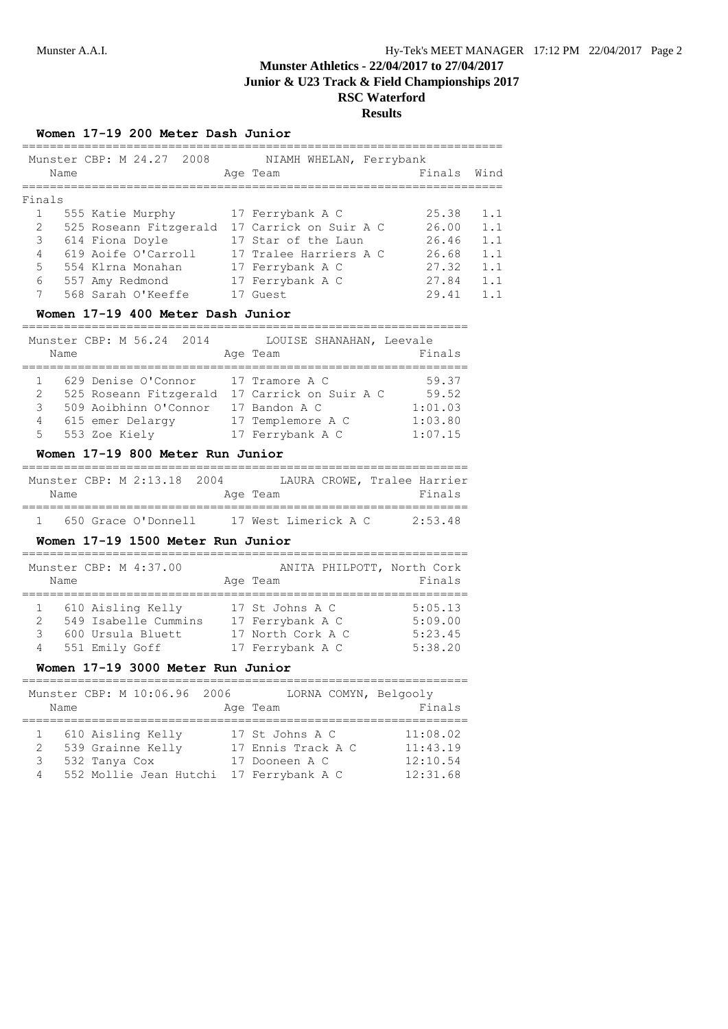# **Results**

#### **Women 17-19 200 Meter Dash Junior**

|                | Name |                 | Munster CBP: M 24.27 2008 |  | Age Team               | NIAMH WHELAN, Ferrybank | Finals | Wind        |
|----------------|------|-----------------|---------------------------|--|------------------------|-------------------------|--------|-------------|
| Finals         |      |                 |                           |  |                        |                         |        |             |
| $\mathbf{1}$   |      |                 | 555 Katie Murphy          |  | 17 Ferrybank A C       |                         | 25.38  | 1.1         |
| 2              |      |                 | 525 Roseann Fitzgerald    |  | 17 Carrick on Suir A C |                         | 26.00  | 1.1         |
| 3              |      | 614 Fiona Doyle |                           |  | 17 Star of the Laun    |                         | 26.46  | 1.1         |
| $\overline{4}$ |      |                 | 619 Aoife O'Carroll       |  | 17 Tralee Harriers A C |                         | 26.68  | 1.1         |
| 5              |      |                 | 554 Klrna Monahan         |  | 17 Ferrybank A C       |                         | 27.32  | 1.1         |
| 6              |      | 557 Amy Redmond |                           |  | 17 Ferrybank A C       |                         | 27.84  | 1.1         |
| 7              |      |                 | 568 Sarah O'Keeffe        |  | Guest                  |                         | 29.41  | $1 \quad 1$ |

## **Women 17-19 400 Meter Dash Junior**

| Name             | Munster CBP: M 56.24 2014                                                                                   | LOUISE SHANAHAN, Leevale<br>Age Team                                                               | Finals                                          |
|------------------|-------------------------------------------------------------------------------------------------------------|----------------------------------------------------------------------------------------------------|-------------------------------------------------|
| 2<br>3<br>4<br>5 | 629 Denise O'Connor<br>525 Roseann Fitzgerald<br>509 Aoibhinn O'Connor<br>615 emer Delargy<br>553 Zoe Kiely | 17 Tramore A C<br>17 Carrick on Suir A C<br>17 Bandon A C<br>17 Templemore A C<br>17 Ferrybank A C | 59.37<br>59.52<br>1:01.03<br>1:03.80<br>1:07.15 |

## **Women 17-19 800 Meter Run Junior**

|      | Munster CBP: M 2:13.18 2004 |  |          |                      |  | LAURA CROWE, Tralee Harrier |         |  |
|------|-----------------------------|--|----------|----------------------|--|-----------------------------|---------|--|
| Name |                             |  | Age Team |                      |  |                             | Finals  |  |
|      | 650 Grace O'Donnell         |  |          | 17 West Limerick A C |  |                             | 2:53.48 |  |

## **Women 17-19 1500 Meter Run Junior**

|   | Munster CBP: M 4:37.00<br>Name | ANITA PHILPOTT, North Cork<br>Age Team | Finals  |
|---|--------------------------------|----------------------------------------|---------|
|   | 610 Aisling Kelly              | 17 St Johns A C                        | 5:05.13 |
| 2 | 549 Isabelle Cummins           | 17 Ferrybank A C                       | 5:09.00 |
| 3 | 600 Ursula Bluett              | 17 North Cork A C                      | 5:23.45 |
| 4 | 551 Emily Goff                 | 17 Ferrybank A C                       | 5:38.20 |

## **Women 17-19 3000 Meter Run Junior**

| Munster CBP: M 10:06.96 2006<br>Name                                                             | LORNA COMYN, Belgooly<br>Age Team                                           | Finals                                       |
|--------------------------------------------------------------------------------------------------|-----------------------------------------------------------------------------|----------------------------------------------|
| 610 Aisling Kelly<br>539 Grainne Kelly<br>2<br>532 Tanya Cox<br>3<br>552 Mollie Jean Hutchi<br>4 | 17 St Johns A C<br>17 Ennis Track A C<br>17 Dooneen A C<br>17 Ferrybank A C | 11:08.02<br>11:43.19<br>12:10.54<br>12:31.68 |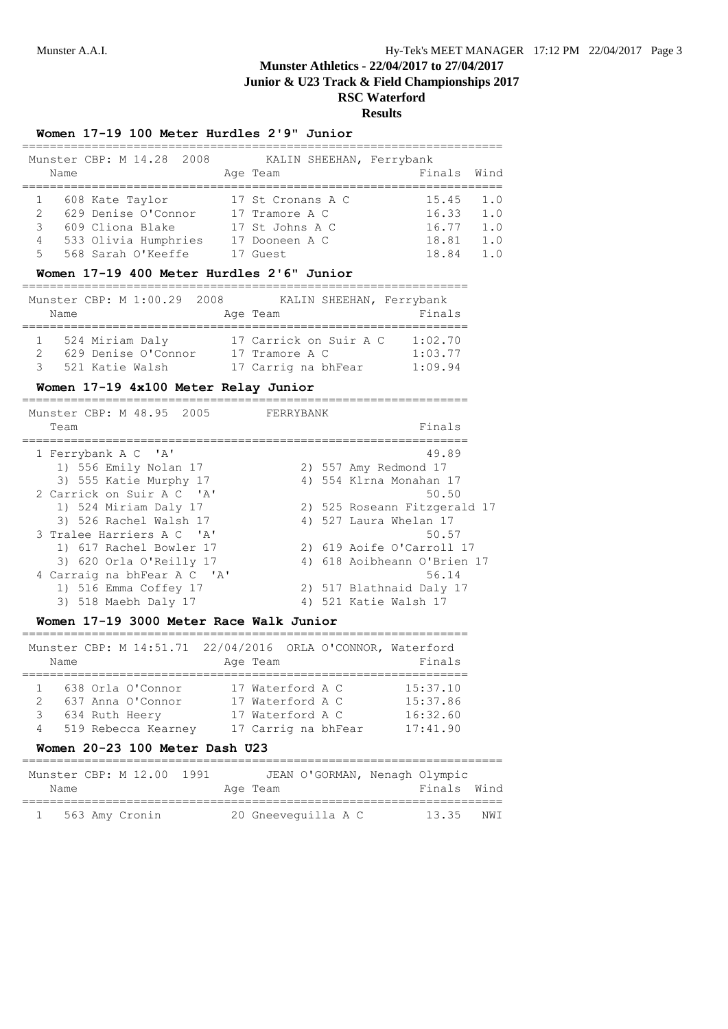**RSC Waterford**

# **Results**

### **Women 17-19 100 Meter Hurdles 2'9" Junior**

|    |      | Munster CBP: M 14.28 2008 | KALIN SHEEHAN, Ferrybank |        |            |
|----|------|---------------------------|--------------------------|--------|------------|
|    | Name |                           | Age Team                 | Finals | Wind       |
|    |      |                           |                          |        |            |
|    |      | 608 Kate Taylor           | 17 St Cronans A C        | 15.45  | 1.0        |
| 2  |      | 629 Denise O'Connor       | 17 Tramore A C           | 16.33  | 1.0        |
| 3  |      | 609 Cliona Blake          | 17 St Johns A C          | 16.77  | 1.0        |
| 4  |      | 533 Olivia Humphries      | 17 Dooneen A C           | 18.81  | 1.0        |
| 5. |      | 568 Sarah O'Keeffe        | ' Guest                  | 18.84  | $1 \Omega$ |

## **Women 17-19 400 Meter Hurdles 2'6" Junior**

|              | Name |                 | Munster CBP: M 1:00.29 2008 |  | KALIN SHEEHAN, Ferrybank<br>Age Team | Finals  |
|--------------|------|-----------------|-----------------------------|--|--------------------------------------|---------|
| $\mathbf{1}$ |      | 524 Miriam Daly |                             |  | 17 Carrick on Suir A C               | 1:02.70 |
|              |      |                 | 629 Denise O'Connor         |  | 17 Tramore A C                       | 1:03.77 |
| २            |      | 521 Katie Walsh |                             |  | 17 Carrig na bhFear                  | 1:09.94 |

## **Women 17-19 4x100 Meter Relay Junior**

| Munster CBP: M 48.95 2005<br>Team            | FERRYBANK<br>Finals            |
|----------------------------------------------|--------------------------------|
| 1 Ferrybank A C 'A'<br>1) 556 Emily Nolan 17 | 49.89<br>2) 557 Amy Redmond 17 |
| 3) 555 Katie Murphy 17                       | 4) 554 Klrna Monahan 17        |
| 2 Carrick on Suir A C 'A'                    | 50.50                          |
| 1) 524 Miriam Daly 17                        | 2) 525 Roseann Fitzgerald 17   |
| 3) 526 Rachel Walsh 17                       | 4) 527 Laura Whelan 17         |
| 3 Tralee Harriers A C 'A'                    | 50.57                          |
| 1) 617 Rachel Bowler 17                      | 2) 619 Aoife O'Carroll 17      |
| 3) 620 Orla O'Reilly 17                      | 4) 618 Aoibheann O'Brien 17    |
| 4 Carraig na bhFear A C 'A'                  | 56.14                          |
| 1) 516 Emma Coffey 17                        | 2) 517 Blathnaid Daly 17       |
| 3) 518 Maebh Daly 17                         | 4) 521 Katie Walsh 17          |
|                                              |                                |

## **Women 17-19 3000 Meter Race Walk Junior**

|               | Name |                       | Munster CBP: M 14:51.71 22/04/2016 ORLA O'CONNOR, Waterford<br>Age Team | Finals   |
|---------------|------|-----------------------|-------------------------------------------------------------------------|----------|
|               |      |                       |                                                                         |          |
| 1.            |      | 638 Orla O'Connor     | 17 Waterford A C                                                        | 15:37.10 |
| $\mathcal{P}$ |      | 637 Anna O'Connor     | 17 Waterford A C                                                        | 15:37.86 |
| 3             |      | 634 Ruth Heery        | 17 Waterford A C                                                        | 16:32.60 |
|               |      | 4 519 Rebecca Kearney | 17 Carrig na bhFear                                                     | 17:41.90 |

#### **Women 20-23 100 Meter Dash U23**

| Name | Munster CBP: M 12.00 1991 |  | JEAN O'GORMAN, Nenagh Olympic<br>Age Team | Finals Wind |      |
|------|---------------------------|--|-------------------------------------------|-------------|------|
|      | 563 Amy Cronin            |  | 20 Gneevequilla A C                       | 13.35       | NW T |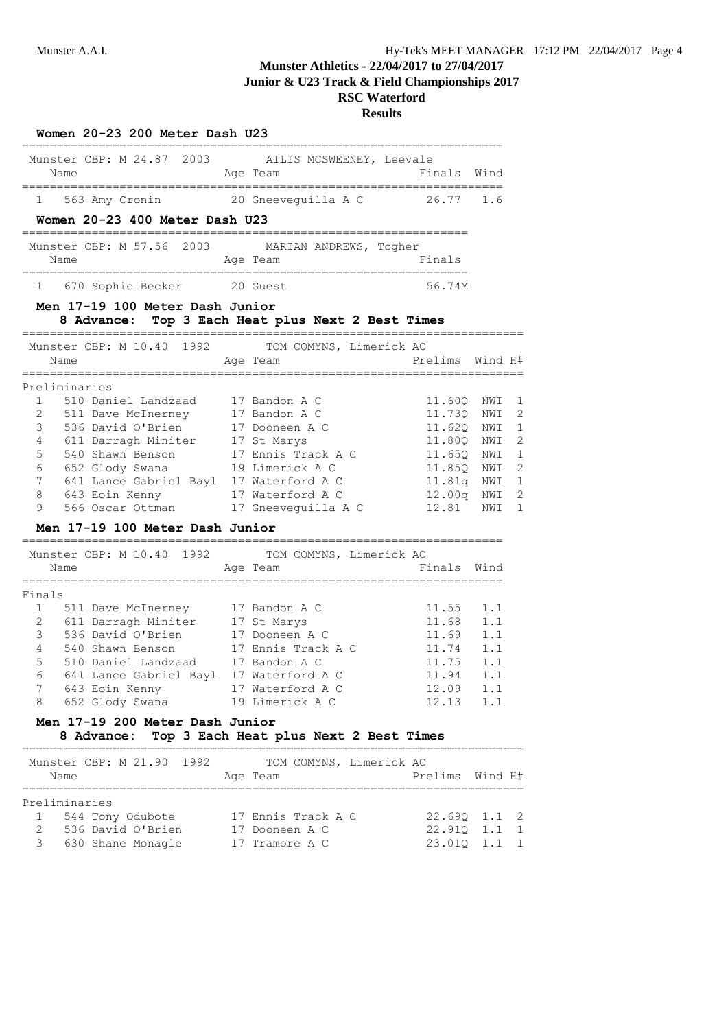# **Munster Athletics - 22/04/2017 to 27/04/2017**

**Junior & U23 Track & Field Championships 2017**

| Women 20-23 200 Meter Dash U23                                                                                                                      |                                          |                      |            |                   |
|-----------------------------------------------------------------------------------------------------------------------------------------------------|------------------------------------------|----------------------|------------|-------------------|
| Munster CBP: M 24.87 2003 AILIS MCSWEENEY, Leevale<br>Name                                                                                          | Age Team                                 | Finals               | Wind       |                   |
| 563 Amy Cronin 20 Gneeveguilla A C<br>$\mathbf{1}$                                                                                                  |                                          | 26.77                | 1.6        |                   |
| Women 20-23 400 Meter Dash U23                                                                                                                      |                                          |                      |            |                   |
| Munster CBP: M 57.56 2003 MARIAN ANDREWS, Togher<br>Name<br>_______________________                                                                 | Age Team<br>____________________________ | Finals               |            |                   |
| ===========<br>670 Sophie Becker 20 Guest<br>$1 \quad \blacksquare$                                                                                 |                                          | 56.74M               |            |                   |
| Men 17-19 100 Meter Dash Junior<br>8 Advance: Top 3 Each Heat plus Next 2 Best Times                                                                |                                          |                      |            |                   |
| Munster CBP: M 10.40 1992<br>Name                                                                                                                   | TOM COMYNS, Limerick AC<br>Age Team      | Prelims              | Wind H#    |                   |
| Preliminaries                                                                                                                                       |                                          |                      |            |                   |
| $\mathbf{1}$<br>510 Daniel Landzaad                                                                                                                 | 17 Bandon A C                            | 11.60Q               | NWI        | 1                 |
| 2<br>511 Dave McInerney 17 Bandon A C<br>536 David O'Brien 17 Dooneen A C<br>611 Darragh Miniter 17 St Marys<br>540 Shawn Benson 17 Ennis Track A C |                                          | 11.73Q               | NWI        | $\overline{c}$    |
| 3                                                                                                                                                   |                                          | 11.620 NWI           |            | $\mathbf{1}$<br>2 |
| 4<br>5                                                                                                                                              |                                          | 11.80Q NWI<br>11.65Q | NWI        | 1                 |
| 6<br>652 Glody Swana                                                                                                                                | 19 Limerick A C                          | 11.85Q               | NWI        | $\overline{c}$    |
| 641 Lance Gabriel Bayl 17 Waterford A C<br>7                                                                                                        |                                          | 11.81q NWI           |            | 1                 |
| 8<br>643 Eoin Kenny 17 Waterford A C                                                                                                                |                                          | 12.00q               | NWI        | 2                 |
| 9<br>566 Oscar Ottman                                                                                                                               | 17 Gneeveguilla A C                      | 12.81                | NWI        | 1                 |
| Men 17-19 100 Meter Dash Junior                                                                                                                     |                                          |                      |            |                   |
| Munster CBP: M 10.40 1992 TOM COMYNS, Limerick AC                                                                                                   |                                          |                      |            |                   |
| Name<br>=========                                                                                                                                   | Age Team                                 | Finals Wind          |            |                   |
| Finals                                                                                                                                              |                                          |                      |            |                   |
| 1<br>511 Dave McInerney 17 Bandon A C                                                                                                               |                                          | 11.55                | 1.1        |                   |
| 611 Darragh Miniter 17 St Marys<br>2                                                                                                                |                                          | 11.68 1.1            |            |                   |
| 536 David O'Brien 17 Dooneen A C<br>3                                                                                                               |                                          | 11.69                | 1.1        |                   |
| 4<br>540 Shawn Benson                                                                                                                               | 17 Ennis Track A C                       | 11.74                | 1.1        |                   |
| 5<br>510 Daniel Landzaad<br>6<br>641 Lance Gabriel Bayl 17 Waterford A C                                                                            | 17 Bandon A C                            | 11.75<br>11.94       | 1.1<br>1.1 |                   |
| 7<br>643 Eoin Kenny                                                                                                                                 | 17 Waterford A C                         | 12.09 1.1            |            |                   |
| 652 Glody Swana 19 Limerick A C<br>8                                                                                                                |                                          | $12.13$ $1.1$        |            |                   |
| Men 17-19 200 Meter Dash Junior<br>8 Advance: Top 3 Each Heat plus Next 2 Best Times                                                                |                                          |                      |            |                   |
| ______________________<br>Munster CBP: M 21.90 1992                                                                                                 | TOM COMYNS, Limerick AC                  |                      |            |                   |
| Name                                                                                                                                                | Age Team                                 | Prelims Wind H#      |            |                   |
| Preliminaries                                                                                                                                       |                                          |                      |            |                   |

| RIETTMININIES       |                    |              |  |
|---------------------|--------------------|--------------|--|
| 1 544 Tony Odubote  | 17 Ennis Track A C | 22.690 1.1 2 |  |
| 2 536 David O'Brien | 17 Dooneen A C     | 22.910 1.1 1 |  |
| 3 630 Shane Monagle | 17 Tramore A C     | 23.010 1.1 1 |  |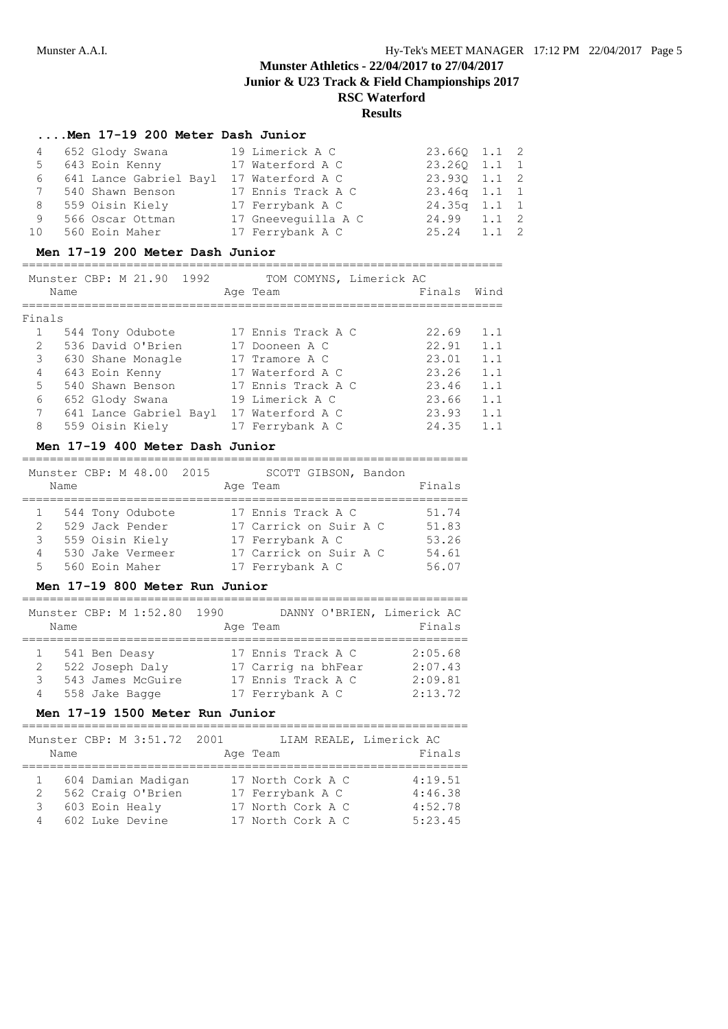# **Results**

# **....Men 17-19 200 Meter Dash Junior**

| 4       | 652 Glody Swana          | 19 Limerick A C     | 23.660 1.1 2   |  |
|---------|--------------------------|---------------------|----------------|--|
|         | 5 643 Eoin Kenny         | 17 Waterford A C    | 23.260 1.1 1   |  |
|         | 6 641 Lance Gabriel Bayl | 17 Waterford A C    | 23.930 1.1 2   |  |
|         | 540 Shawn Benson         | 17 Ennis Track A C  | $23.46q$ 1.1 1 |  |
| 8       | 559 Oisin Kiely          | 17 Ferrybank A C    | $24.35q$ 1.1 1 |  |
| 9       | 566 Oscar Ottman         | 17 Gneevequilla A C | 24.99 1.1 2    |  |
| $10 \,$ | 560 Eoin Maher           | 17 Ferrybank A C    | $25.24$ 1.1 2  |  |

### **Men 17-19 200 Meter Dash Junior**

# =====================================================================

|             |      | Munster CBP: M 21.90 1992 | TOM COMYNS, Limerick AC |        |      |
|-------------|------|---------------------------|-------------------------|--------|------|
|             | Name |                           | Age Team                | Finals | Wind |
| Finals      |      |                           |                         |        |      |
|             |      | 544 Tony Odubote          | 17 Ennis Track A C      | 22.69  | 1.1  |
| 2           |      | 536 David O'Brien         | 17 Dooneen A C          | 22.91  | 1.1  |
| 3           |      | 630 Shane Monagle         | 17 Tramore A C          | 23.01  | 1.1  |
| 4           |      | 643 Eoin Kenny            | 17 Waterford A C        | 23.26  | 1.1  |
| 5           |      | 540 Shawn Benson          | 17 Ennis Track A C      | 23.46  | 1.1  |
| 6           |      | 652 Glody Swana           | 19 Limerick A C         | 23.66  | 1.1  |
| $7^{\circ}$ |      | 641 Lance Gabriel Bayl    | 17 Waterford A C        | 23.93  | 1.1  |
| 8           |      | 559 Oisin Kiely           | 17 Ferrybank A C        | 24.35  | 1.1  |

#### **Men 17-19 400 Meter Dash Junior**

#### ================================================================

| Name | Munster CBP: M 48.00 2015 | SCOTT GIBSON, Bandon<br>Age Team | Finals |
|------|---------------------------|----------------------------------|--------|
|      | 544 Tony Odubote          | 17 Ennis Track A C               | 51.74  |
| 2    | 529 Jack Pender           | 17 Carrick on Suir A C           | 51.83  |
| 3    | 559 Oisin Kiely           | 17 Ferrybank A C                 | 53.26  |
| 4    | 530 Jake Vermeer          | 17 Carrick on Suir A C           | 54.61  |
| 5    | 560 Eoin Maher            | 17 Ferrybank A C                 | 56.07  |

### **Men 17-19 800 Meter Run Junior**

| Name        | Munster CBP: M 1:52.80 1990                                             | DANNY O'BRIEN, Limerick AC<br>Age Team                                              | Finals                                   |
|-------------|-------------------------------------------------------------------------|-------------------------------------------------------------------------------------|------------------------------------------|
| 2<br>3<br>4 | 541 Ben Deasy<br>522 Joseph Daly<br>543 James McGuire<br>558 Jake Bagge | 17 Ennis Track A C<br>17 Carrig na bhFear<br>17 Ennis Track A C<br>17 Ferrybank A C | 2:05.68<br>2:07.43<br>2:09.81<br>2:13.72 |

### **Men 17-19 1500 Meter Run Junior**

| Name        | Munster CBP: M 3:51.72 2001                                                  | Age Team                                                                        | LIAM REALE, Limerick AC<br>Finals        |
|-------------|------------------------------------------------------------------------------|---------------------------------------------------------------------------------|------------------------------------------|
| 2<br>3<br>4 | 604 Damian Madigan<br>562 Craig O'Brien<br>603 Eoin Healy<br>602 Luke Devine | 17 North Cork A C<br>17 Ferrybank A C<br>17 North Cork A C<br>17 North Cork A C | 4:19.51<br>4:46.38<br>4:52.78<br>5:23.45 |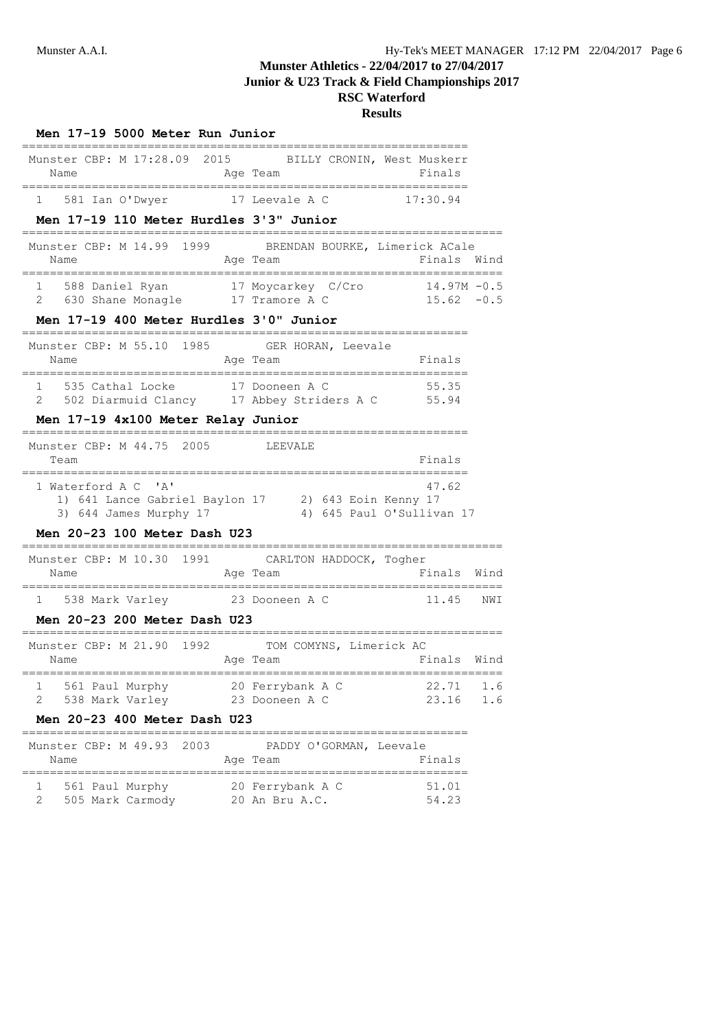| Men 17-19 5000 Meter Run Junior                                                                                                                                            |      |
|----------------------------------------------------------------------------------------------------------------------------------------------------------------------------|------|
| Munster CBP: M 17:28.09 2015 BILLY CRONIN, West Muskerr<br>Age Team<br>Finals<br>Name                                                                                      |      |
| 1 581 Ian O'Dwyer 17 Leevale A C<br>17:30.94                                                                                                                               |      |
| Men 17-19 110 Meter Hurdles 3'3" Junior                                                                                                                                    |      |
| Munster CBP: M 14.99 1999 BRENDAN BOURKE, Limerick ACale<br>Finals<br>Name<br>Age Team                                                                                     | Wind |
| 1 588 Daniel Ryan 17 Moycarkey C/Cro 14.97M -0.5<br>2 630 Shane Monagle 17 Tramore A C 15.62 -0.5                                                                          |      |
| Men 17-19 400 Meter Hurdles 3'0" Junior                                                                                                                                    |      |
| Munster CBP: M 55.10 1985 GER HORAN, Leevale<br>Age Team<br>Finals<br>Name                                                                                                 |      |
| =========================<br>1 535 Cathal Locke 17 Dooneen A C<br>55.35<br>2 502 Diarmuid Clancy 17 Abbey Striders A C 55.94                                               |      |
| Men 17-19 4x100 Meter Relay Junior                                                                                                                                         |      |
| Munster CBP: M 44.75 2005<br>LEEVALE<br>Finals<br>Team<br>______________________                                                                                           |      |
| 1 Waterford A C 'A'<br>47.62<br>1) 641 Lance Gabriel Baylon 17 2) 643 Eoin Kenny 17<br>3) 644 James Murphy 17<br>4) 645 Paul O'Sullivan 17<br>Men 20-23 100 Meter Dash U23 |      |
| Munster CBP: M 10.30 1991<br>CARLTON HADDOCK, Togher                                                                                                                       |      |
| Finals Wind<br>Name<br>Age Team                                                                                                                                            |      |
| ========================<br>;=================================<br>1 538 Mark Varley 23 Dooneen A C<br>11.45                                                                | NWI  |
| Men 20-23 200 Meter Dash U23                                                                                                                                               |      |
| Munster CBP: M 21.90 1992<br>TOM COMYNS, Limerick AC<br>Finals Wind<br>Name<br>Age Team                                                                                    |      |
| 22.71<br>561 Paul Murphy<br>20 Ferrybank A C<br>1<br>2                                                                                                                     | 1.6  |
| 538 Mark Varley<br>23.16<br>23 Dooneen A C<br>Men 20-23 400 Meter Dash U23                                                                                                 | 1.6  |
| Munster CBP: M 49.93<br>2003<br>PADDY O'GORMAN, Leevale<br>Name<br>Age Team<br>Finals                                                                                      |      |
| 561 Paul Murphy<br>20 Ferrybank A C<br>51.01<br>1<br>54.23<br>2<br>505 Mark Carmody<br>20 An Bru A.C.                                                                      |      |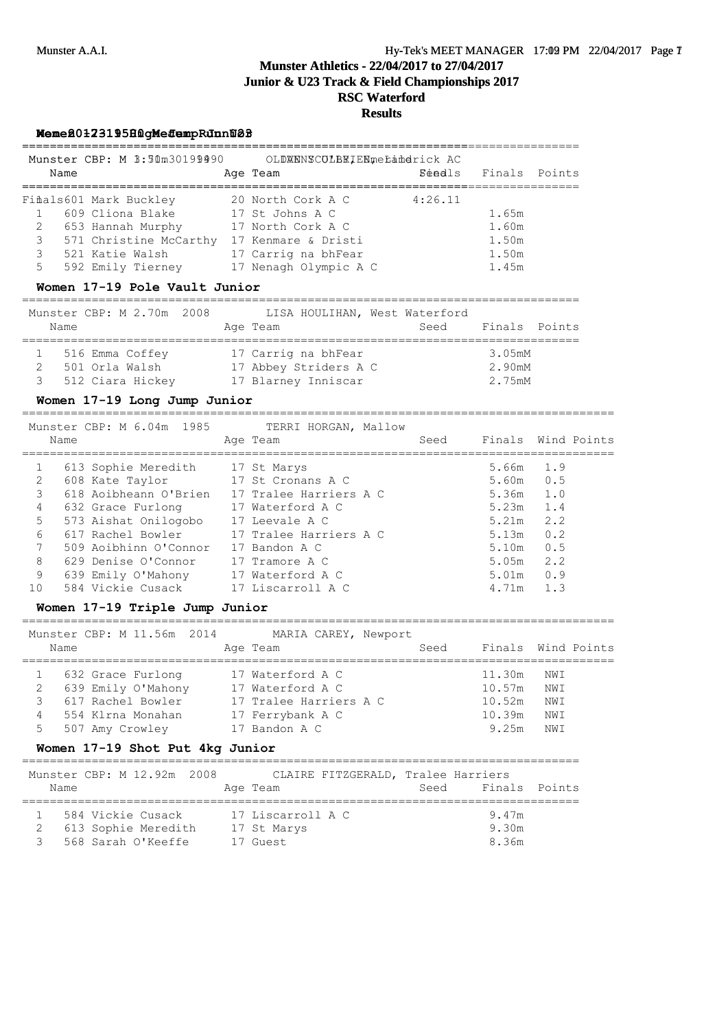# **Munster Athletics - 22/04/2017 to 27/04/2017 Junior & U23 Track & Field Championships 2017 RSC Waterford Results**

================================================================================

================================================================================

### **Men 20-23 1500 Meter Run U23 Women 17-19 High Jump Junior**

| Munster CBP: M 3:30m30199990 |      |                         | OLDXNNSCOLBKIENmeLandrick AC |         |  |                      |  |  |
|------------------------------|------|-------------------------|------------------------------|---------|--|----------------------|--|--|
|                              | Name |                         | Age Team                     |         |  | Séadls Finals Points |  |  |
|                              |      | Fifials601 Mark Buckley | 20 North Cork A C            | 4:26.11 |  |                      |  |  |
|                              |      | 609 Cliona Blake        | 17 St Johns A C              |         |  | 1.65m                |  |  |
| 2                            |      | 653 Hannah Murphy       | 17 North Cork A C            |         |  | 1.60m                |  |  |
| 3                            |      | 571 Christine McCarthy  | 17 Kenmare & Dristi          |         |  | 1.50m                |  |  |
| 3                            |      | 521 Katie Walsh         | 17 Carrig na bhFear          |         |  | 1.50m                |  |  |
| 5                            |      | 592 Emily Tierney       | 17 Nenagh Olympic A C        |         |  | 1.45m                |  |  |

## **Women 17-19 Pole Vault Junior**

|   | Name | Munster CBP: M 2.70m 2008 | LISA HOULIHAN, West Waterford<br>Age Team | Seed | Finals Points |  |
|---|------|---------------------------|-------------------------------------------|------|---------------|--|
|   |      | 516 Emma Coffey           | 17 Carrig na bhFear                       |      | 3.05mM        |  |
|   |      | 501 Orla Walsh            | 17 Abbey Striders A C                     |      | 2.90mM        |  |
| 3 |      | 512 Ciara Hickey          | 17 Blarney Inniscar                       |      | 2.75mM        |  |

### **Women 17-19 Long Jump Junior**

===================================================================================== Munster CBP: M 6.04m 1985 TERRI HORGAN, Mallow

|    |      | $1101100010$ $0111$ , $010010$ , $01110$ | think honoring harded  |      |                    |     |  |
|----|------|------------------------------------------|------------------------|------|--------------------|-----|--|
|    | Name |                                          | Age Team               | Seed | Finals Wind Points |     |  |
|    |      | 613 Sophie Meredith 17 St Marys          |                        |      | 5.66m              | 1.9 |  |
|    |      | 608 Kate Taylor                          | 17 St Cronans A C      |      | 5.60m              | 0.5 |  |
|    |      | 618 Aoibheann O'Brien                    | 17 Tralee Harriers A C |      | 5.36m              | 1.0 |  |
| 4  |      | 632 Grace Furlong                        | 17 Waterford A C       |      | 5.23m              | 1.4 |  |
| 5  |      | 573 Aishat Onilogobo                     | 17 Leevale A C         |      | 5.21m              | 2.2 |  |
| 6  |      | 617 Rachel Bowler                        | 17 Tralee Harriers A C |      | 5.13m              | 0.2 |  |
|    |      | 509 Aoibhinn O'Connor                    | 17 Bandon A C          |      | 5.10m              | 0.5 |  |
| 8  |      | 629 Denise O'Connor                      | 17 Tramore A C         |      | 5.05m              | 2.2 |  |
| 9  |      | 639 Emily O'Mahony                       | 17 Waterford A C       |      | 5.01m              | 0.9 |  |
| 10 |      | 584 Vickie Cusack                        | 17 Liscarroll A C      |      | 4.71m              | 1.3 |  |

# **Women 17-19 Triple Jump Junior**

|   | Name |                 | Munster CBP: M 11.56m 2014 |  | MARIA CAREY, Newport<br>Age Team | Seed | Finals Wind Points |                 |  |
|---|------|-----------------|----------------------------|--|----------------------------------|------|--------------------|-----------------|--|
|   |      |                 | 632 Grace Furlong          |  | 17 Waterford A C                 |      | 11.30m             | NWI             |  |
|   |      |                 | 639 Emily O'Mahony         |  | 17 Waterford A C                 |      | 10.57m             | NWI             |  |
|   |      |                 | 617 Rachel Bowler          |  | 17 Tralee Harriers A C           |      | 10.52m             | NWI             |  |
|   |      |                 | 554 Klrna Monahan          |  | 17 Ferrybank A C                 |      | 10.39m             | NWI             |  |
| 5 |      | 507 Amy Crowley |                            |  | $17$ Bandon A C                  |      | 9.25m              | NW <sub>T</sub> |  |

## **Women 17-19 Shot Put 4kg Junior**

| Name | Munster CBP: M 12.92m 2008                                     | CLAIRE FITZGERALD, Tralee Harriers<br>Age Team | Seed | Finals Points           |  |
|------|----------------------------------------------------------------|------------------------------------------------|------|-------------------------|--|
|      | 584 Vickie Cusack<br>613 Sophie Meredith<br>568 Sarah O'Keeffe | 17 Liscarroll A C<br>17 St Marys<br>17 Guest   |      | 9.47m<br>9.30m<br>8.36m |  |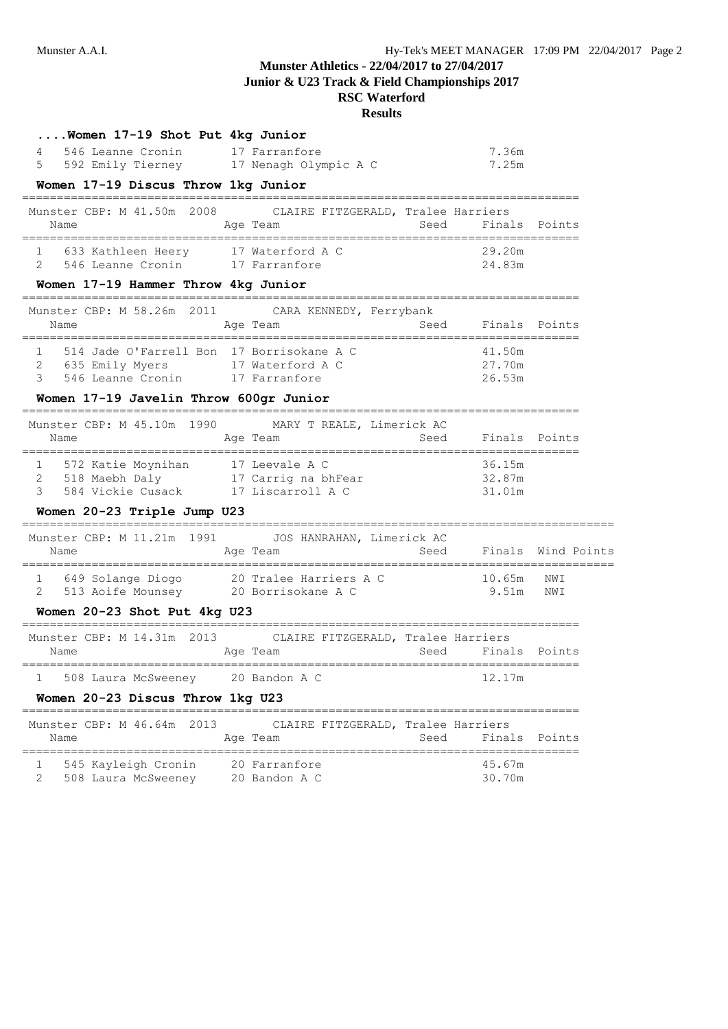# **Munster Athletics - 22/04/2017 to 27/04/2017**

**Junior & U23 Track & Field Championships 2017**

| 4<br>5 | Women 17-19 Shot Put 4kg Junior<br>546 Leanne Cronin<br>592 Emily Tierney 17 Nenagh Olympic A C<br>Women 17-19 Discus Throw 1kg Junior | 17 Farranfore                                                                        |      | 7.36m<br>7.25m                                    |                    |
|--------|----------------------------------------------------------------------------------------------------------------------------------------|--------------------------------------------------------------------------------------|------|---------------------------------------------------|--------------------|
|        | =================================<br>Munster CBP: M 41.50m 2008<br>Name                                                                | CLAIRE FITZGERALD, Tralee Harriers<br>Age Team and Seed Finals Points                |      |                                                   |                    |
|        | 1 633 Kathleen Heery 17 Waterford A C<br>2 546 Leanne Cronin 17 Farranfore<br>Women 17-19 Hammer Throw 4kg Junior                      |                                                                                      |      | 29.20m<br>24.83m                                  |                    |
|        | Name                                                                                                                                   | Munster CBP: M 58.26m 2011 CARA KENNEDY, Ferrybank<br>===========================    |      |                                                   |                    |
|        | 1 514 Jade O'Farrell Bon 17 Borrisokane A C<br>2 635 Emily Myers 17 Waterford A C<br>3 546 Leanne Cronin 17 Farranfore                 |                                                                                      |      | 41.50m<br>27.70m<br>26.53m                        |                    |
|        | Women 17-19 Javelin Throw 600gr Junior                                                                                                 |                                                                                      |      |                                                   |                    |
|        | Name                                                                                                                                   | Munster CBP: M 45.10m 1990 MARY T REALE, Limerick AC<br>Age Team<br><b>Seed</b> Seed |      | Finals Points                                     |                    |
|        | 1 572 Katie Moynihan 17 Leevale A C<br>2 518 Maebh Daly 17 Carrig na bhFear<br>3 584 Vickie Cusack 17 Liscarroll A C                   |                                                                                      |      | 36.15m<br>32.87m<br>31.01m                        |                    |
|        | Women 20-23 Triple Jump U23                                                                                                            |                                                                                      |      |                                                   |                    |
|        | Name                                                                                                                                   | Munster CBP: M 11.21m 1991 JOS HANRAHAN, Limerick AC<br>Age Team                     | Seed |                                                   | Finals Wind Points |
| 2      | 513 Aoife Mounsey 20 Borrisokane A C                                                                                                   | 1 649 Solange Diogo 20 Tralee Harriers A C                                           |      | 10.65m<br>9.51m                                   | NWI<br>NWI         |
|        | Women 20-23 Shot Put 4kg U23                                                                                                           |                                                                                      |      |                                                   |                    |
|        | Name                                                                                                                                   | Munster CBP: M 14.31m 2013 CLAIRE FITZGERALD, Tralee Harriers<br>Age Team            | Seed | Finals Points                                     |                    |
|        | 1 508 Laura McSweeney 20 Bandon A C<br>Women 20-23 Discus Throw 1kg U23                                                                |                                                                                      |      | 12.17m                                            |                    |
|        | Munster CBP: M 46.64m<br>2013<br>Name                                                                                                  | CLAIRE FITZGERALD, Tralee Harriers<br>Age Team                                       | Seed | Finals                                            | Points             |
| 1<br>2 | 545 Kayleigh Cronin<br>508 Laura McSweeney                                                                                             | 20 Farranfore<br>20 Bandon A C                                                       |      | =============================<br>45.67m<br>30.70m |                    |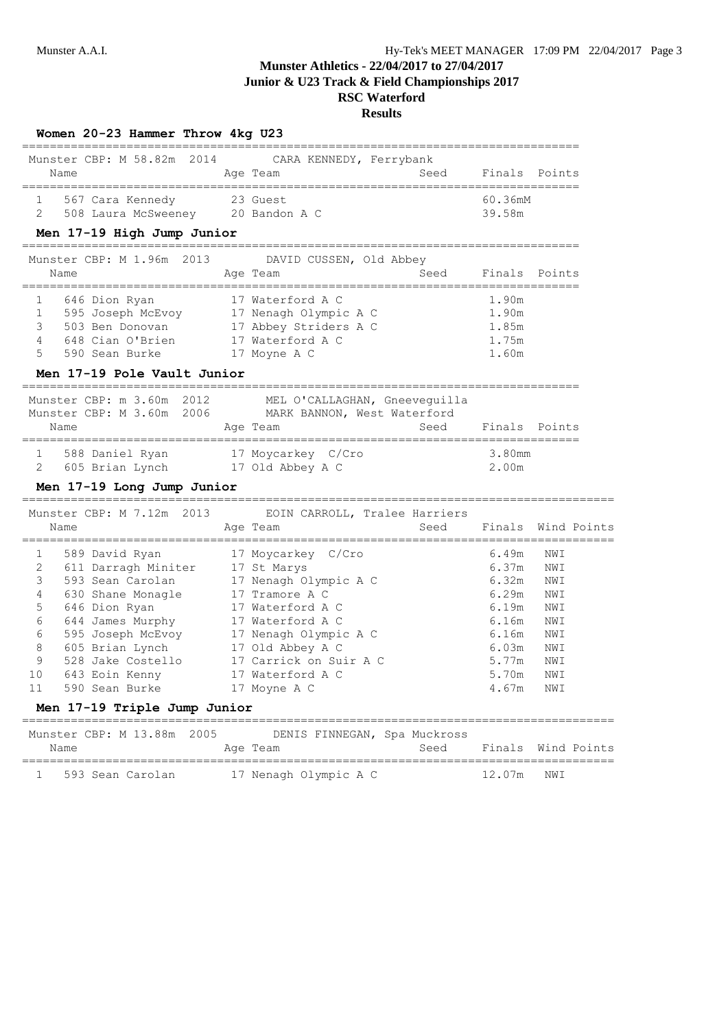|      | Women 20-23 Hammer Throw 4kg U23<br>=====================   |                                                               |                                        |                         |     |             |
|------|-------------------------------------------------------------|---------------------------------------------------------------|----------------------------------------|-------------------------|-----|-------------|
|      |                                                             | Munster CBP: M 58.82m 2014 CARA KENNEDY, Ferrybank            |                                        |                         |     |             |
| Name |                                                             | Age Team                                                      | Seed<br>;============================= | Finals Points           |     |             |
| 1    | 567 Cara Kennedy 23 Guest                                   |                                                               |                                        | 60.36mM                 |     |             |
| 2    | 508 Laura McSweeney 20 Bandon A C                           |                                                               |                                        | 39.58m                  |     |             |
|      | Men 17-19 High Jump Junior                                  |                                                               |                                        |                         |     |             |
|      |                                                             | Munster CBP: M 1.96m 2013 DAVID CUSSEN, Old Abbey             |                                        |                         |     |             |
| Name |                                                             | Age Team                                                      | Seed                                   | Finals Points           |     |             |
| 1    | 646 Dion Ryan                                               | 17 Waterford A C                                              |                                        | 1.90m                   |     |             |
| 1    | 595 Joseph McEvoy 17 Nenagh Olympic A C                     |                                                               |                                        | 1.90m                   |     |             |
| 3    | 503 Ben Donovan                                             | 17 Abbey Striders A C                                         |                                        | 1.85m                   |     |             |
| 4    | 648 Cian O'Brien                                            | 17 Waterford A C                                              |                                        | 1.75m                   |     |             |
| 5    | 590 Sean Burke                                              | 17 Moyne A C                                                  |                                        | 1.60m                   |     |             |
|      | Men 17-19 Pole Vault Junior<br>============================ |                                                               |                                        |                         |     |             |
|      | Munster CBP: m 3.60m 2012                                   | MEL O'CALLAGHAN, Gneeveguilla                                 |                                        |                         |     |             |
|      |                                                             | Munster CBP: M 3.60m 2006 MARK BANNON, West Waterford         |                                        |                         |     |             |
| Name |                                                             | Age Team                                                      |                                        | Seed Finals Points      |     |             |
|      | 1 588 Daniel Ryan 17 Moycarkey C/Cro                        |                                                               |                                        | 3.80mm                  |     |             |
| 2    | 605 Brian Lynch 17 Old Abbey A C                            |                                                               |                                        | 2.00m                   |     |             |
|      | Men 17-19 Long Jump Junior                                  |                                                               |                                        |                         |     |             |
|      |                                                             | Munster CBP: M 7.12m 2013 EOIN CARROLL, Tralee Harriers       |                                        |                         |     |             |
| Name |                                                             | Age Team                                                      |                                        | Seed Finals Wind Points |     |             |
|      |                                                             |                                                               |                                        |                         |     |             |
| 1    | 589 David Ryan                                              | 17 Moycarkey C/Cro                                            |                                        | 6.49m                   | NWI |             |
| 2    | 611 Darragh Miniter 17 St Marys                             |                                                               |                                        | 6.37m                   | NWI |             |
| 3    | 593 Sean Carolan                                            | 17 Nenagh Olympic A C                                         |                                        | 6.32m                   | NWI |             |
| 4    | 630 Shane Monagle                                           | 17 Tramore A C                                                |                                        | 6.29m                   | NWI |             |
| 5    | 646 Dion Ryan                                               | 17 Waterford A C                                              |                                        | 6.19m                   | NWI |             |
| 6    | 644 James Murphy 17 Waterford A C                           |                                                               |                                        | 6.16m                   | NWI |             |
| 6    | 595 Joseph McEvoy 17 Nenagh Olympic A C                     |                                                               |                                        | 6.16m                   | NWI |             |
| 8    | 605 Brian Lynch                                             | 17 Old Abbey A C                                              |                                        | 6.03m                   | NWI |             |
| 9    | 528 Jake Costello                                           | 17 Carrick on Suir A C                                        |                                        | 5.77m                   | NWI |             |
| 11   | 10 643 Eoin Kenny<br>590 Sean Burke                         | 17 Waterford A C                                              |                                        | 5.70m                   | NWI |             |
|      | Men 17-19 Triple Jump Junior                                | 17 Moyne A C                                                  |                                        | 4.67m                   | NWI |             |
|      |                                                             |                                                               |                                        |                         |     |             |
|      | Munster CBP: M 13.88m 2005                                  | DENIS FINNEGAN, Spa Muckross                                  |                                        |                         |     |             |
| Name |                                                             | Age Team                                                      | Seed                                   | Finals                  |     | Wind Points |
| ı    | 593 Sean Carolan                                            | ====================================<br>17 Nenagh Olympic A C |                                        | ====<br>12.07m          | NWI | =========== |
|      |                                                             |                                                               |                                        |                         |     |             |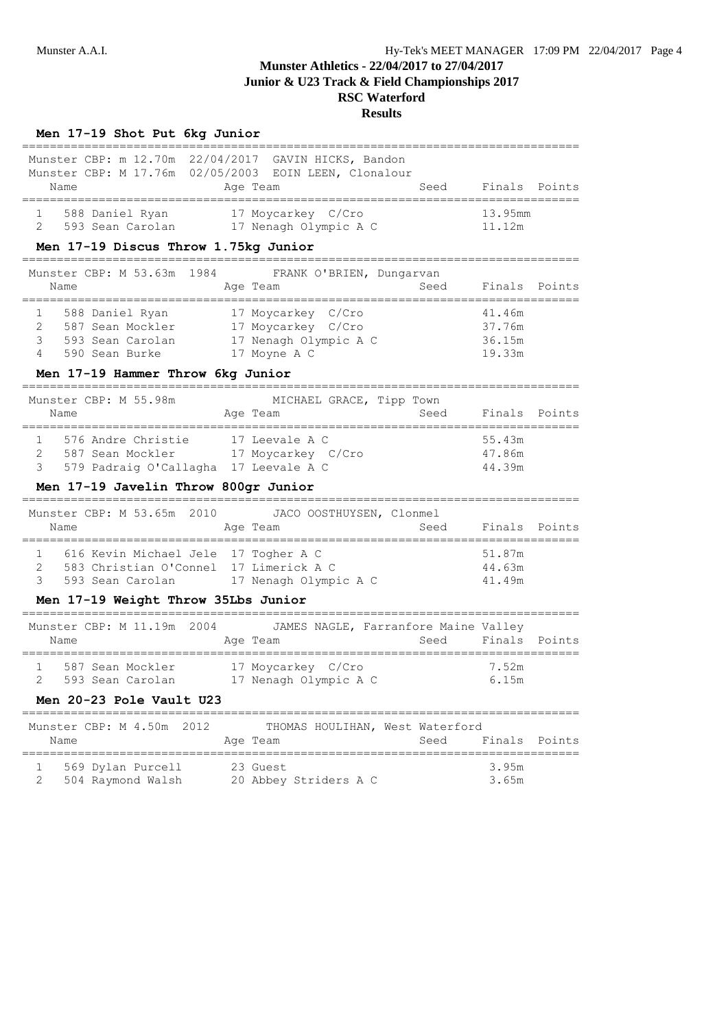# **RSC Waterford**

### **Results**

## **Men 17-19 Shot Put 6kg Junior**

| Munster CBP: m 12.70m 22/04/2017 GAVIN HICKS, Bandon<br>Munster CBP: M 17.76m 02/05/2003 EOIN LEEN, Clonalour<br>Name                                                                           | Age Team                                                                   | Seed | Finals Points                        |  |
|-------------------------------------------------------------------------------------------------------------------------------------------------------------------------------------------------|----------------------------------------------------------------------------|------|--------------------------------------|--|
| 588 Daniel Ryan 17 Moycarkey C/Cro<br>593 Sean Carolan 17 Nenagh Olympic A C<br>1<br>$2^{\circ}$                                                                                                |                                                                            |      | 13.95mm<br>11.12m                    |  |
| Men 17-19 Discus Throw 1.75kg Junior                                                                                                                                                            |                                                                            |      |                                      |  |
| Munster CBP: M 53.63m 1984 FRANK O'BRIEN, Dungarvan<br>Name                                                                                                                                     | Age Team                                                                   | Seed | Finals Points                        |  |
| 588 Daniel Ryan<br>$\overline{2}$<br>587 Sean Mockler 17 Moycarkey C/Cro<br>3<br>593 Sean Carolan<br>4<br>590 Sean Burke                                                                        | 17 Moycarkey C/Cro<br>17 Nenagh Olympic A C<br>17 Moyne A C                |      | 41.46m<br>37.76m<br>36.15m<br>19.33m |  |
| Men 17-19 Hammer Throw 6kg Junior                                                                                                                                                               |                                                                            |      |                                      |  |
| Munster CBP: M 55.98m<br>Name<br>==================================                                                                                                                             | MICHAEL GRACE, Tipp Town<br>Age Team<br>================================== | Seed | Finals Points                        |  |
| 576 Andre Christie 17 Leevale A C<br>$1 \quad \Box$<br>587 Sean Mockler 17 Moycarkey C/Cro<br>$\overline{2}$<br>579 Padraig O'Callagha 17 Leevale A C<br>3                                      |                                                                            |      | 55.43m<br>47.86m<br>44.39m           |  |
| Men 17-19 Javelin Throw 800gr Junior<br>______________                                                                                                                                          |                                                                            |      |                                      |  |
| Munster CBP: M 53.65m 2010 JACO OOSTHUYSEN, Clonmel<br>Name                                                                                                                                     | Age Team                                                                   | Seed | Finals Points                        |  |
| 616 Kevin Michael Jele 17 Togher A C<br>$1 -$<br>583 Christian O'Connel 17 Limerick A C<br>$\overline{2}$<br>3<br>593 Sean Carolan 17 Nenagh Olympic A C<br>Men 17-19 Weight Throw 35Lbs Junior |                                                                            |      | 51.87m<br>44.63m<br>41.49m           |  |
|                                                                                                                                                                                                 |                                                                            |      |                                      |  |
| Munster CBP: M 11.19m 2004 JAMES NAGLE, Farranfore Maine Valley<br>Name                                                                                                                         | Age Team                                                                   | Seed | Finals Points                        |  |
| 587 Sean Mockler<br>1<br>$\mathfrak{D}$<br>593 Sean Carolan                                                                                                                                     | 17 Moycarkey C/Cro<br>17 Nenagh Olympic A C                                |      | 7.52m<br>6.15m                       |  |

## **Men 20-23 Pole Vault U23**

#### ================================================================================ Munster CBP: M 4.50m 2012 THOMAS HOULIHAN, West Waterford

|               |      | Munster CBP: M 4.50m 2012 |  |                       |  |  | THOMAS HOULIHAN, West Waterford |               |  |
|---------------|------|---------------------------|--|-----------------------|--|--|---------------------------------|---------------|--|
|               | Name |                           |  | Age Team              |  |  | Seed                            | Finals Points |  |
|               |      | 569 Dylan Purcell         |  | 23 Guest              |  |  |                                 | 3.95m         |  |
| $\mathcal{P}$ |      | 504 Raymond Walsh         |  | 20 Abbey Striders A C |  |  |                                 | 3.65m         |  |